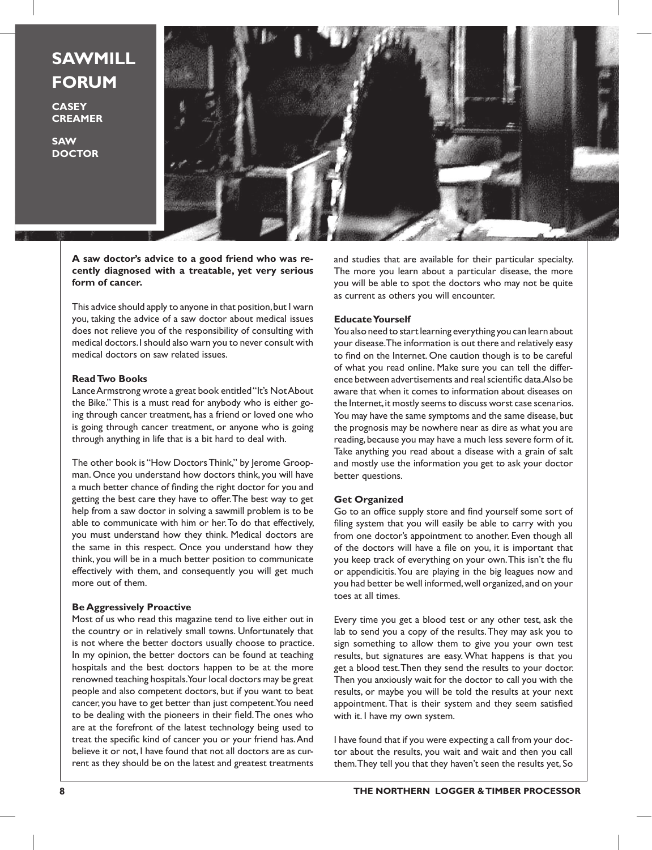# **SAWMILL FORUM**

**CASEY CREAMER**

**SAW DOCTOR**



**A saw doctor's advice to a good friend who was recently diagnosed with a treatable, yet very serious form of cancer.** 

This advice should apply to anyone in that position, but I warn you, taking the advice of a saw doctor about medical issues does not relieve you of the responsibility of consulting with medical doctors. I should also warn you to never consult with medical doctors on saw related issues.

## **Read Two Books**

Lance Armstrong wrote a great book entitled "It's Not About the Bike." This is a must read for anybody who is either going through cancer treatment, has a friend or loved one who is going through cancer treatment, or anyone who is going through anything in life that is a bit hard to deal with.

The other book is "How Doctors Think," by Jerome Groopman. Once you understand how doctors think, you will have a much better chance of finding the right doctor for you and getting the best care they have to offer. The best way to get help from a saw doctor in solving a sawmill problem is to be able to communicate with him or her. To do that effectively, you must understand how they think. Medical doctors are the same in this respect. Once you understand how they think, you will be in a much better position to communicate effectively with them, and consequently you will get much more out of them.

## **Be Aggressively Proactive**

Most of us who read this magazine tend to live either out in the country or in relatively small towns. Unfortunately that is not where the better doctors usually choose to practice. In my opinion, the better doctors can be found at teaching hospitals and the best doctors happen to be at the more renowned teaching hospitals. Your local doctors may be great people and also competent doctors, but if you want to beat cancer, you have to get better than just competent. You need to be dealing with the pioneers in their field. The ones who are at the forefront of the latest technology being used to treat the specific kind of cancer you or your friend has. And believe it or not, I have found that not all doctors are as current as they should be on the latest and greatest treatments

and studies that are available for their particular specialty. The more you learn about a particular disease, the more you will be able to spot the doctors who may not be quite as current as others you will encounter.

#### **Educate Yourself**

You also need to start learning everything you can learn about your disease. The information is out there and relatively easy to find on the Internet. One caution though is to be careful of what you read online. Make sure you can tell the difference between advertisements and real scientific data. Also be aware that when it comes to information about diseases on the Internet, it mostly seems to discuss worst case scenarios. You may have the same symptoms and the same disease, but the prognosis may be nowhere near as dire as what you are reading, because you may have a much less severe form of it. Take anything you read about a disease with a grain of salt and mostly use the information you get to ask your doctor better questions.

#### **Get Organized**

Go to an office supply store and find yourself some sort of filing system that you will easily be able to carry with you from one doctor's appointment to another. Even though all of the doctors will have a file on you, it is important that you keep track of everything on your own. This isn't the flu or appendicitis. You are playing in the big leagues now and you had better be well informed, well organized, and on your toes at all times.

Every time you get a blood test or any other test, ask the lab to send you a copy of the results. They may ask you to sign something to allow them to give you your own test results, but signatures are easy. What happens is that you get a blood test. Then they send the results to your doctor. Then you anxiously wait for the doctor to call you with the results, or maybe you will be told the results at your next appointment. That is their system and they seem satisfied with it. I have my own system.

I have found that if you were expecting a call from your doctor about the results, you wait and wait and then you call them. They tell you that they haven't seen the results yet, So